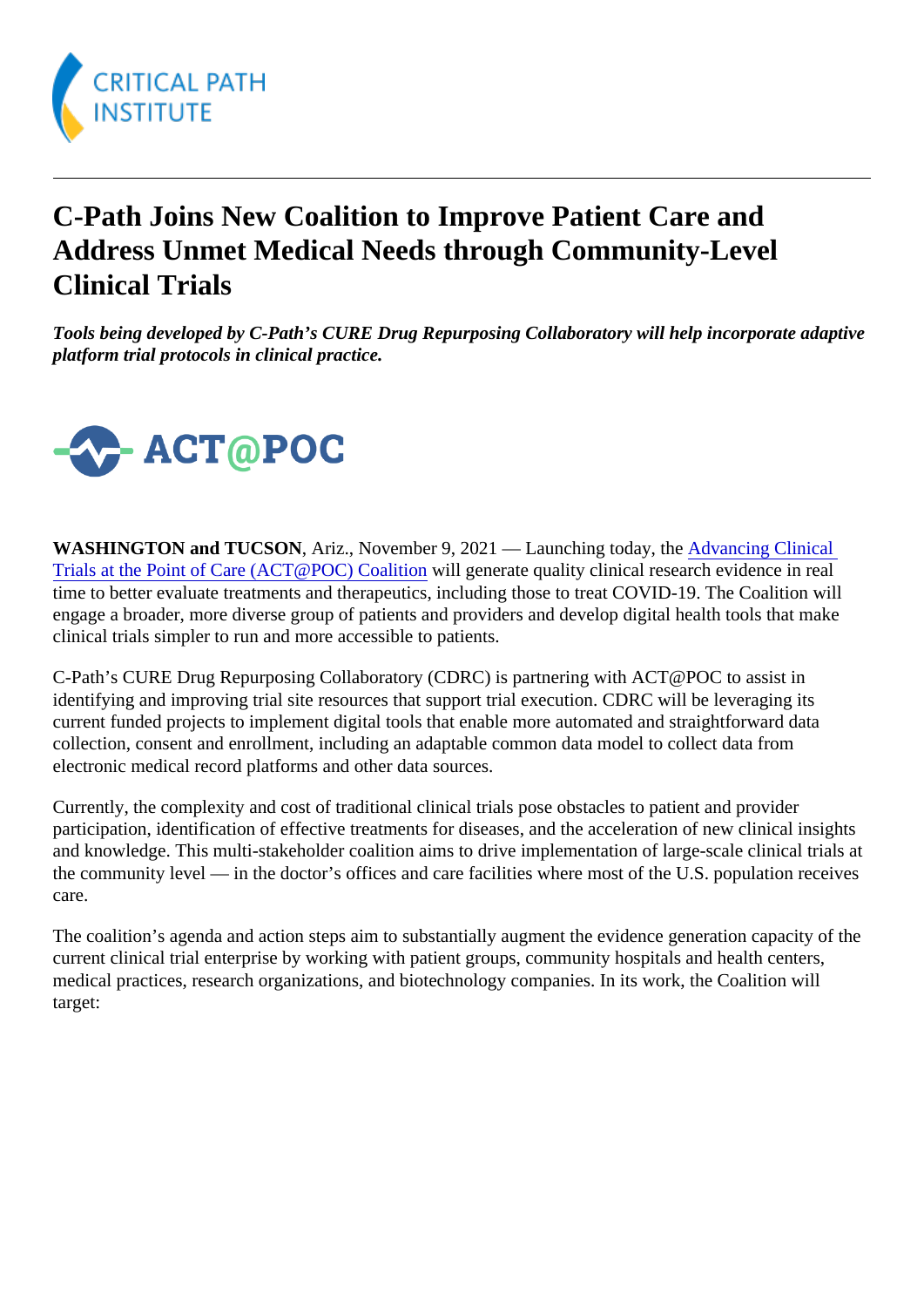## C-Path Joins New Coalition to Improve Patient Care and Address Unmet Medical Needs through Community-Level Clinical Trials

Tools being developed by C-Path's CURE Drug Repurposing Collaboratory will help incorporate adaptive platform trial protocols in clinical practice.

WASHINGTON and TUCSON, Ariz., November 9, 2021 — Launching today, *flab*/ancing Clinical [Trials at the Point of Care \(ACT@POC\) Coalit](https://actpoc.org/)ivill generate quality clinical research evidence in real time to better evaluate treatments and therapeutics, including those to treat COVID-19. The Coalition will engage a broader, more diverse group of patients and providers and develop digital health tools that make clinical trials simpler to run and more accessible to patients.

C-Path's CURE Drug Repurposing Collaboratory (CDRC) is partnering with ACT@POC to assist in identifying and improving trial site resources that support trial execution. CDRC will be leveraging its current funded projects to implement digital tools that enable more automated and straightforward data collection, consent and enrollment, including an adaptable common data model to collect data from electronic medical record platforms and other data sources.

Currently, the complexity and cost of traditional clinical trials pose obstacles to patient and provider participation, identification of effective treatments for diseases, and the acceleration of new clinical insights and knowledge. This multi-stakeholder coalition aims to drive implementation of large-scale clinical trials a the community level — in the doctor's offices and care facilities where most of the U.S. population receive care.

The coalition's agenda and action steps aim to substantially augment the evidence generation capacity of current clinical trial enterprise by working with patient groups, community hospitals and health centers, medical practices, research organizations, and biotechnology companies. In its work, the Coalition will target: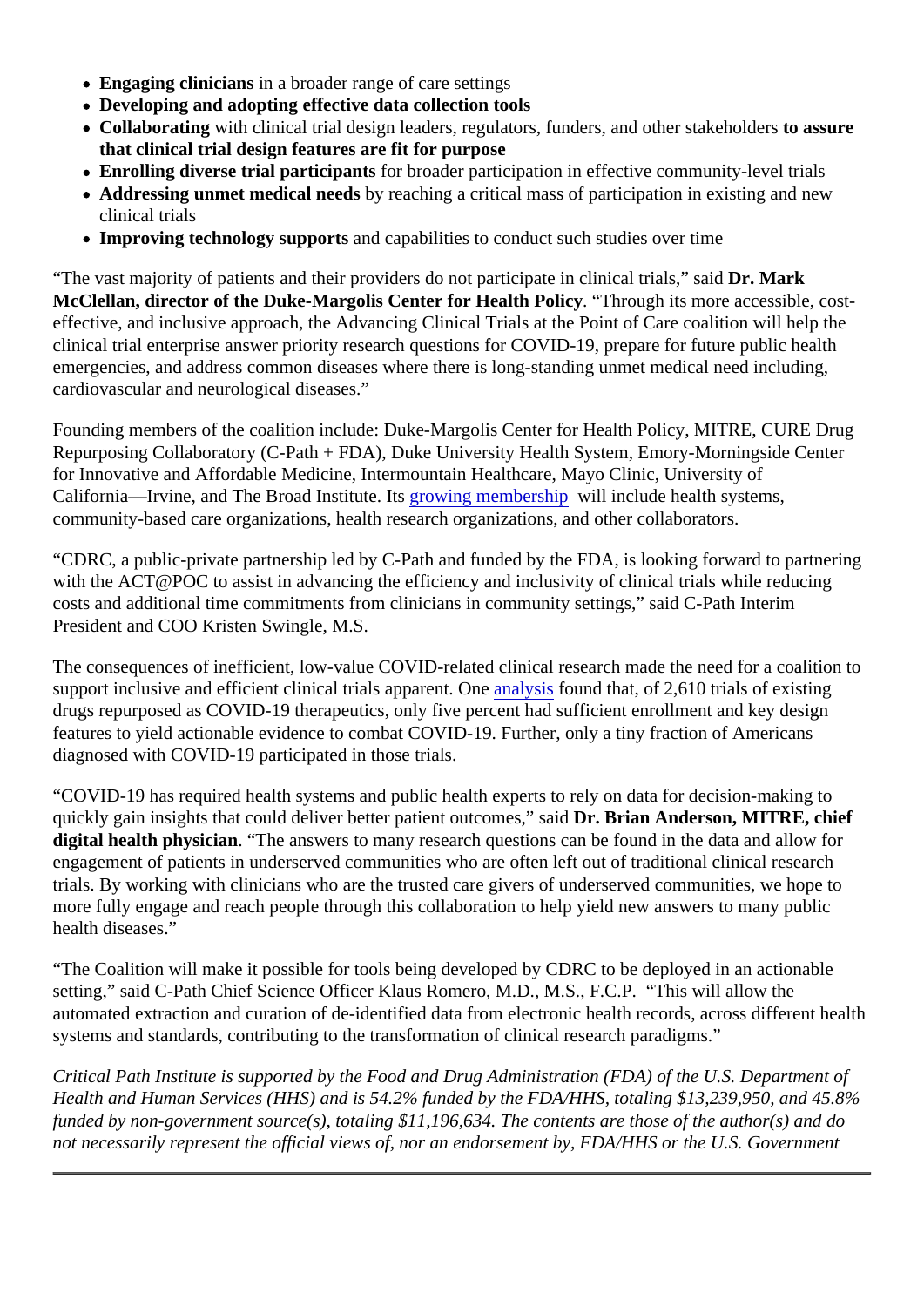- Engaging cliniciansin a broader range of care settings
- Developing and adopting effective data collection tools
- Collaborating with clinical trial design leaders, regulators, funders, and other stakeholders ure that clinical trial design features are fit for purpose
- Enrolling diverse trial participants for broader participation in effective community-level trials
- Addressing unmet medical needby reaching a critical mass of participation in existing and new clinical trials
- Improving technology supports and capabilities to conduct such studies over time

"The vast majority of patients and their providers do not participate in clinical trials, Dsaldark McClellan, director of the Duke-Margolis Center for Health Policy. "Through its more accessible, costeffective, and inclusive approach, the Advancing Clinical Trials at the Point of Care coalition will help the clinical trial enterprise answer priority research questions for COVID-19, prepare for future public health emergencies, and address common diseases where there is long-standing unmet medical need including, cardiovascular and neurological diseases."

Founding members of the coalition include: Duke-Margolis Center for Health Policy, MITRE, CURE Drug Repurposing Collaboratory (C-Path + FDA), Duke University Health System, Emory-Morningside Center for Innovative and Affordable Medicine, Intermountain Healthcare, Mayo Clinic, University of California—Irvine, and The Broad Institute. **Its wing membership will include health systems**, community-based care organizations, health research organizations, and other collaborators.

"CDRC, a public-private partnership led by C-Path and funded by the FDA, is looking forward to partnering with the ACT@POC to assist in advancing the efficiency and inclusivity of clinical trials while reducing costs and additional time commitments from clinicians in community settings," said C-Path Interim President and COO Kristen Swingle, M.S.

The consequences of inefficient, low-value COVID-related clinical research made the need for a coalition to support inclusive and efficient clinical trials apparent. **One** ysis found that, of 2,610 trials of existing drugs repurposed as COVID-19 therapeutics, only five percent had sufficient enrollment and key design features to yield actionable evidence to combat COVID-19. Further, only a tiny fraction of Americans diagnosed with COVID-19 participated in those trials.

"COVID-19 has required health systems and public health experts to rely on data for decision-making to quickly gain insights that could deliver better patient outcomes," Datai Brian Anderson, MITRE, chief digital health physician. "The answers to many research questions can be found in the data and allow for engagement of patients in underserved communities who are often left out of traditional clinical research trials. By working with clinicians who are the trusted care givers of underserved communities, we hope to more fully engage and reach people through this collaboration to help yield new answers to many public health diseases."

"The Coalition will make it possible for tools being developed by CDRC to be deployed in an actionable setting," said C-Path Chief Science Officer Klaus Romero, M.D., M.S., F.C.P. "This will allow the automated extraction and curation of de-identified data from electronic health records, across different health systems and standards, contributing to the transformation of clinical research paradigms."

Critical Path Institute is supported by the Food and Drug Administration (FDA) of the U.S. Department of Health and Human Services (HHS) and is 54.2% funded by the FDA/HHS, totaling \$13,239,950, and 45.8% funded by non-government source(s), totaling \$11,196,634. The contents are those of the author(s) and d not necessarily represent the official views of, nor an endorsement by, FDA/HHS or the U.S. Government